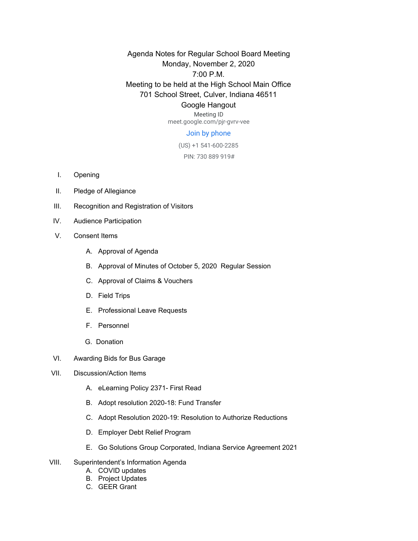Agenda Notes for Regular School Board Meeting Monday, November 2, 2020 7:00 P.M. Meeting to be held at the High School Main Office 701 School Street, Culver, Indiana 46511 Google Hangout

> Meeting ID meet.google.com/pjr-gvrv-vee

## Join by phone

(US) +1 541-600-2285

PIN: 730 889 919#

- I. Opening
- II. Pledge of Allegiance
- III. Recognition and Registration of Visitors
- IV. Audience Participation
- V. Consent Items
	- A. Approval of Agenda
	- B. Approval of Minutes of October 5, 2020 Regular Session
	- C. Approval of Claims & Vouchers
	- D. Field Trips
	- E. Professional Leave Requests
	- F. Personnel
	- G. Donation
- VI. Awarding Bids for Bus Garage
- VII. Discussion/Action Items
	- A. eLearning Policy 2371- First Read
	- B. Adopt resolution 2020-18: Fund Transfer
	- C. Adopt Resolution 2020-19: Resolution to Authorize Reductions
	- D. Employer Debt Relief Program
	- E. Go Solutions Group Corporated, Indiana Service Agreement 2021
- VIII. Superintendent's Information Agenda
	- A. COVID updates
	- B. Project Updates
	- C. GEER Grant